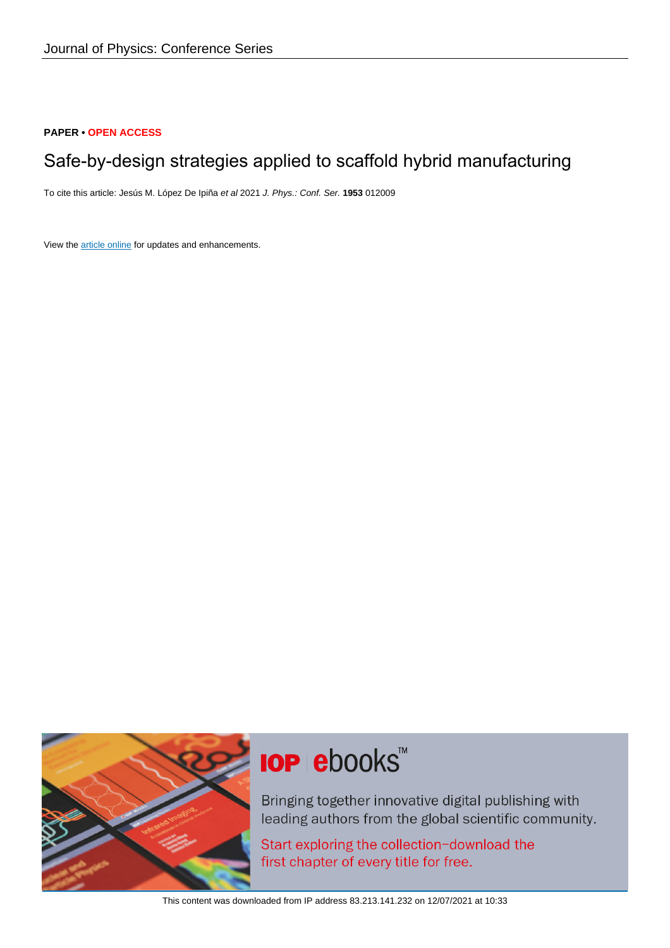# **PAPER • OPEN ACCESS**

# Safe-by-design strategies applied to scaffold hybrid manufacturing

To cite this article: Jesús M. López De Ipiña et al 2021 J. Phys.: Conf. Ser. **1953** 012009

View the [article online](https://doi.org/10.1088/1742-6596/1953/1/012009) for updates and enhancements.



# **IOP ebooks**™

Bringing together innovative digital publishing with leading authors from the global scientific community.

Start exploring the collection-download the first chapter of every title for free.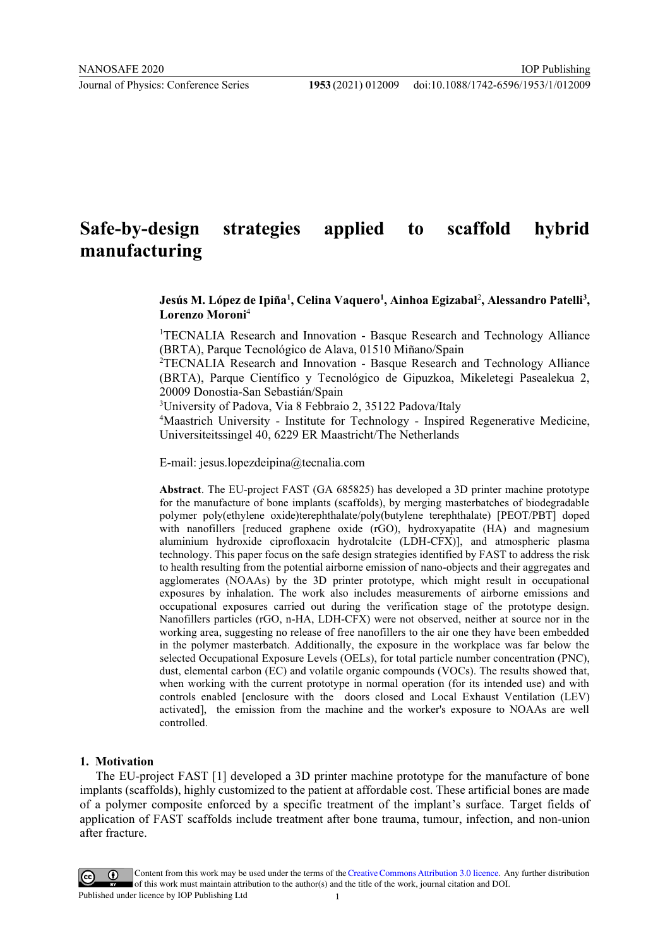# **Safe-by-design strategies applied to scaffold hybrid manufacturing**

# Jesús M. López de Ipiña<sup>1</sup>, Celina Vaquero<sup>1</sup>, Ainhoa Egizabal<sup>2</sup>, Alessandro Patelli<sup>3</sup>, **Lorenzo Moroni**<sup>4</sup>

<sup>1</sup>TECNALIA Research and Innovation - Basque Research and Technology Alliance (BRTA), Parque Tecnológico de Alava, 01510 Miñano/Spain

2 TECNALIA Research and Innovation - Basque Research and Technology Alliance (BRTA), Parque Científico y Tecnológico de Gipuzkoa, Mikeletegi Pasealekua 2, 20009 Donostia-San Sebastián/Spain

3 University of Padova, Via 8 Febbraio 2, 35122 Padova/Italy

4 Maastrich University - Institute for Technology - Inspired Regenerative Medicine, Universiteitssingel 40, 6229 ER Maastricht/The Netherlands

E-mail: jesus.lopezdeipina@tecnalia.com

**Abstract**. The EU-project FAST (GA 685825) has developed a 3D printer machine prototype for the manufacture of bone implants (scaffolds), by merging masterbatches of biodegradable polymer poly(ethylene oxide)terephthalate/poly(butylene terephthalate) [PEOT/PBT] doped with nanofillers [reduced graphene oxide (rGO), hydroxyapatite (HA) and magnesium aluminium hydroxide ciprofloxacin hydrotalcite (LDH-CFX)], and atmospheric plasma technology. This paper focus on the safe design strategies identified by FAST to address the risk to health resulting from the potential airborne emission of nano-objects and their aggregates and agglomerates (NOAAs) by the 3D printer prototype, which might result in occupational exposures by inhalation. The work also includes measurements of airborne emissions and occupational exposures carried out during the verification stage of the prototype design. Nanofillers particles (rGO, n-HA, LDH-CFX) were not observed, neither at source nor in the working area, suggesting no release of free nanofillers to the air one they have been embedded in the polymer masterbatch. Additionally, the exposure in the workplace was far below the selected Occupational Exposure Levels (OELs), for total particle number concentration (PNC), dust, elemental carbon (EC) and volatile organic compounds (VOCs). The results showed that, when working with the current prototype in normal operation (for its intended use) and with controls enabled [enclosure with the doors closed and Local Exhaust Ventilation (LEV) activated], the emission from the machine and the worker's exposure to NOAAs are well controlled.

#### **1. Motivation**

The EU-project FAST [1] developed a 3D printer machine prototype for the manufacture of bone implants (scaffolds), highly customized to the patient at affordable cost. These artificial bones are made of a polymer composite enforced by a specific treatment of the implant's surface. Target fields of application of FAST scaffolds include treatment after bone trauma, tumour, infection, and non-union after fracture.

Content from this work may be used under the terms of theCreative Commons Attribution 3.0 licence. Any further distribution of this work must maintain attribution to the author(s) and the title of the work, journal citation and DOI. Published under licence by IOP Publishing Ltd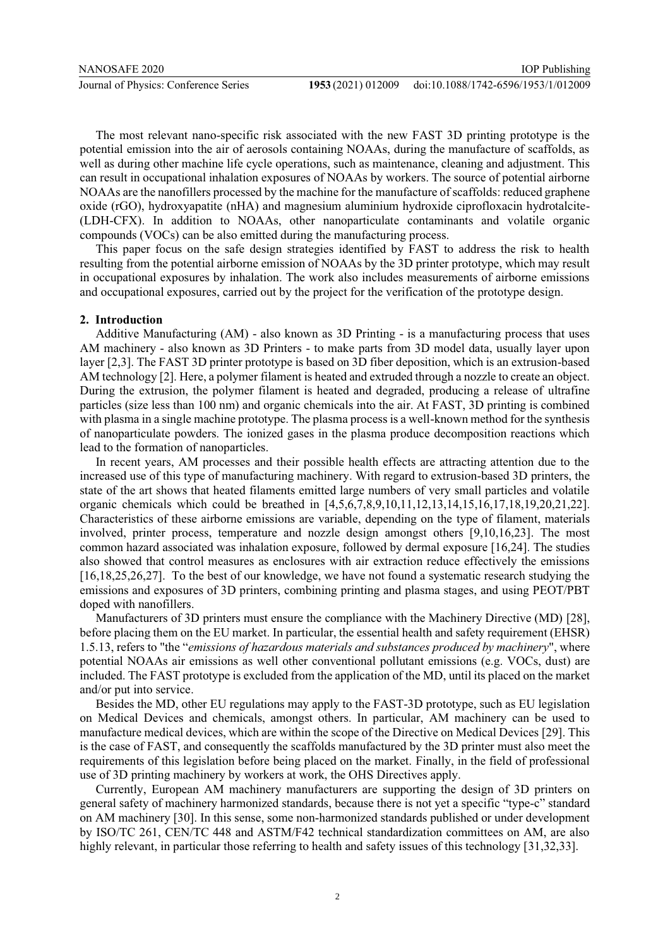The most relevant nano-specific risk associated with the new FAST 3D printing prototype is the potential emission into the air of aerosols containing NOAAs, during the manufacture of scaffolds, as well as during other machine life cycle operations, such as maintenance, cleaning and adjustment. This can result in occupational inhalation exposures of NOAAs by workers. The source of potential airborne NOAAs are the nanofillers processed by the machine for the manufacture of scaffolds: reduced graphene oxide (rGO), hydroxyapatite (nHA) and magnesium aluminium hydroxide ciprofloxacin hydrotalcite- (LDH-CFX). In addition to NOAAs, other nanoparticulate contaminants and volatile organic compounds (VOCs) can be also emitted during the manufacturing process.

This paper focus on the safe design strategies identified by FAST to address the risk to health resulting from the potential airborne emission of NOAAs by the 3D printer prototype, which may result in occupational exposures by inhalation. The work also includes measurements of airborne emissions and occupational exposures, carried out by the project for the verification of the prototype design.

#### **2. Introduction**

Additive Manufacturing (AM) - also known as 3D Printing - is a manufacturing process that uses AM machinery - also known as 3D Printers - to make parts from 3D model data, usually layer upon layer [2,3]. The FAST 3D printer prototype is based on 3D fiber deposition, which is an extrusion-based AM technology [2]. Here, a polymer filament is heated and extruded through a nozzle to create an object. During the extrusion, the polymer filament is heated and degraded, producing a release of ultrafine particles (size less than 100 nm) and organic chemicals into the air. At FAST, 3D printing is combined with plasma in a single machine prototype. The plasma process is a well-known method for the synthesis of nanoparticulate powders. The ionized gases in the plasma produce decomposition reactions which lead to the formation of nanoparticles.

In recent years, AM processes and their possible health effects are attracting attention due to the increased use of this type of manufacturing machinery. With regard to extrusion-based 3D printers, the state of the art shows that heated filaments emitted large numbers of very small particles and volatile organic chemicals which could be breathed in [4,5,6,7,8,9,10,11,12,13,14,15,16,17,18,19,20,21,22]. Characteristics of these airborne emissions are variable, depending on the type of filament, materials involved, printer process, temperature and nozzle design amongst others [9,10,16,23]. The most common hazard associated was inhalation exposure, followed by dermal exposure [16,24]. The studies also showed that control measures as enclosures with air extraction reduce effectively the emissions [16,18,25,26,27]. To the best of our knowledge, we have not found a systematic research studying the emissions and exposures of 3D printers, combining printing and plasma stages, and using PEOT/PBT doped with nanofillers.

Manufacturers of 3D printers must ensure the compliance with the Machinery Directive (MD) [28], before placing them on the EU market. In particular, the essential health and safety requirement (EHSR) 1.5.13, refers to "the "*emissions of hazardous materials and substances produced by machinery*", where potential NOAAs air emissions as well other conventional pollutant emissions (e.g. VOCs, dust) are included. The FAST prototype is excluded from the application of the MD, until its placed on the market and/or put into service.

Besides the MD, other EU regulations may apply to the FAST-3D prototype, such as EU legislation on Medical Devices and chemicals, amongst others. In particular, AM machinery can be used to manufacture medical devices, which are within the scope of the Directive on Medical Devices [29]. This is the case of FAST, and consequently the scaffolds manufactured by the 3D printer must also meet the requirements of this legislation before being placed on the market. Finally, in the field of professional use of 3D printing machinery by workers at work, the OHS Directives apply.

Currently, European AM machinery manufacturers are supporting the design of 3D printers on general safety of machinery harmonized standards, because there is not yet a specific "type-c" standard on AM machinery [30]. In this sense, some non-harmonized standards published or under development by ISO/TC 261, CEN/TC 448 and ASTM/F42 technical standardization committees on AM, are also highly relevant, in particular those referring to health and safety issues of this technology [31,32,33].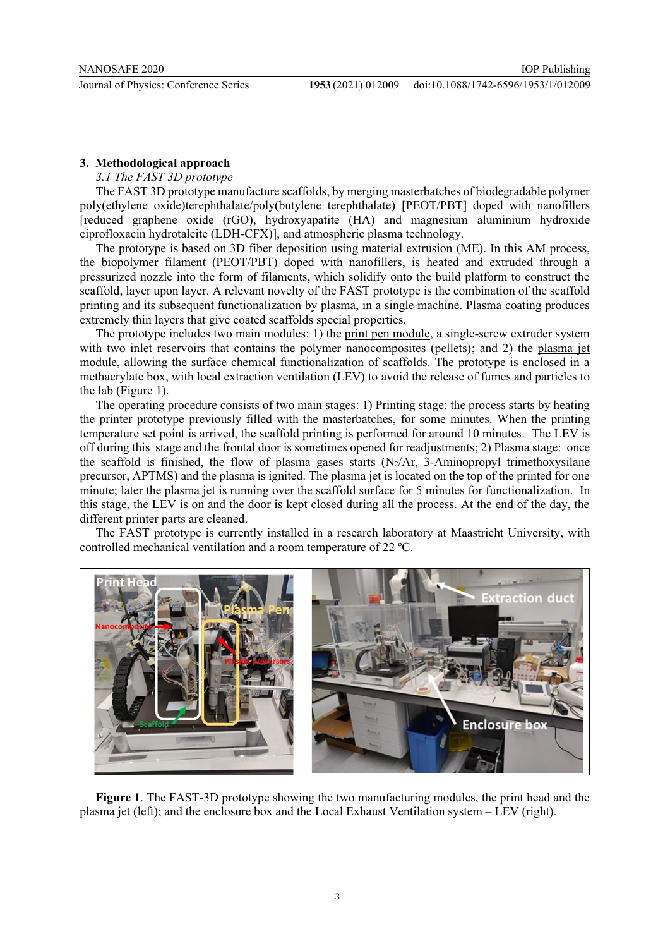## **3. Methodological approach**

#### *3.1 The FAST 3D prototype*

The FAST 3D prototype manufacture scaffolds, by merging masterbatches of biodegradable polymer poly(ethylene oxide)terephthalate/poly(butylene terephthalate) [PEOT/PBT] doped with nanofillers [reduced graphene oxide (rGO), hydroxyapatite (HA) and magnesium aluminium hydroxide ciprofloxacin hydrotalcite (LDH-CFX)], and atmospheric plasma technology.

The prototype is based on 3D fiber deposition using material extrusion (ME). In this AM process, the biopolymer filament (PEOT/PBT) doped with nanofillers, is heated and extruded through a pressurized nozzle into the form of filaments, which solidify onto the build platform to construct the scaffold, layer upon layer. A relevant novelty of the FAST prototype is the combination of the scaffold printing and its subsequent functionalization by plasma, in a single machine. Plasma coating produces extremely thin layers that give coated scaffolds special properties.

The prototype includes two main modules: 1) the print pen module, a single-screw extruder system with two inlet reservoirs that contains the polymer nanocomposites (pellets); and 2) the plasma jet module, allowing the surface chemical functionalization of scaffolds. The prototype is enclosed in a methacrylate box, with local extraction ventilation (LEV) to avoid the release of fumes and particles to the lab (Figure 1).

The operating procedure consists of two main stages: 1) Printing stage: the process starts by heating the printer prototype previously filled with the masterbatches, for some minutes. When the printing temperature set point is arrived, the scaffold printing is performed for around 10 minutes. The LEV is off during this stage and the frontal door is sometimes opened for readjustments; 2) Plasma stage: once the scaffold is finished, the flow of plasma gases starts  $(N_2/Ar, 3-Aminopropyl$  trimethoxysilane precursor, APTMS) and the plasma is ignited. The plasma jet is located on the top of the printed for one minute; later the plasma jet is running over the scaffold surface for 5 minutes for functionalization. In this stage, the LEV is on and the door is kept closed during all the process. At the end of the day, the different printer parts are cleaned.

The FAST prototype is currently installed in a research laboratory at Maastricht University, with controlled mechanical ventilation and a room temperature of 22 ºC.



**Figure 1**. The FAST-3D prototype showing the two manufacturing modules, the print head and the plasma jet (left); and the enclosure box and the Local Exhaust Ventilation system – LEV (right).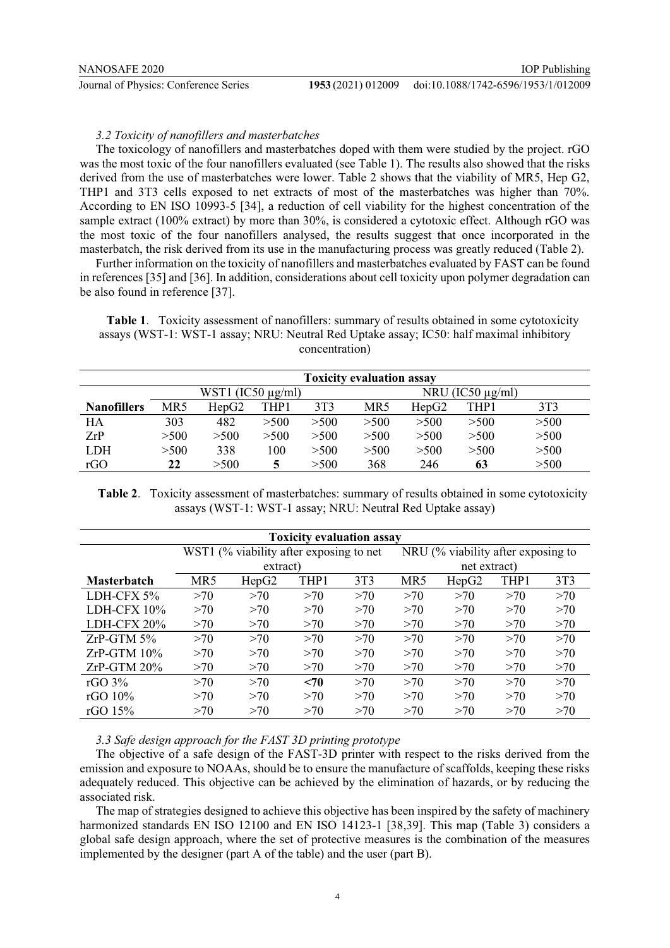#### *3.2 Toxicity of nanofillers and masterbatches*

The toxicology of nanofillers and masterbatches doped with them were studied by the project. rGO was the most toxic of the four nanofillers evaluated (see Table 1). The results also showed that the risks derived from the use of masterbatches were lower. Table 2 shows that the viability of MR5, Hep G2, THP1 and 3T3 cells exposed to net extracts of most of the masterbatches was higher than 70%. According to EN ISO 10993-5 [34], a reduction of cell viability for the highest concentration of the sample extract (100% extract) by more than 30%, is considered a cytotoxic effect. Although rGO was the most toxic of the four nanofillers analysed, the results suggest that once incorporated in the masterbatch, the risk derived from its use in the manufacturing process was greatly reduced (Table 2).

Further information on the toxicity of nanofillers and masterbatches evaluated by FAST can be found in references [35] and [36]. In addition, considerations about cell toxicity upon polymer degradation can be also found in reference [37].

**Table 1**. Toxicity assessment of nanofillers: summary of results obtained in some cytotoxicity assays (WST-1: WST-1 assay; NRU: Neutral Red Uptake assay; IC50: half maximal inhibitory concentration)

|                    |      |                        |      |      | <b>Toxicity evaluation assay</b> |       |                       |                 |
|--------------------|------|------------------------|------|------|----------------------------------|-------|-----------------------|-----------------|
|                    |      | WST1 $(IC50 \mu g/ml)$ |      |      |                                  |       | NRU (IC50 $\mu$ g/ml) |                 |
| <b>Nanofillers</b> | MR5  | HepG2                  | THP1 | 3T3  | MR5                              | HepG2 | THP1                  | 3T <sub>3</sub> |
| HA                 | 303  | 482                    | >500 | >500 | >500                             | >500  | >500                  | >500            |
| ZrP                | >500 | >500                   | >500 | >500 | >500                             | >500  | >500                  | >500            |
| LDH                | >500 | 338                    | 100  | >500 | >500                             | >500  | >500                  | >500            |
| rGO                | 22   | >500                   | 5    | >500 | 368                              | 246   | 63                    | >500            |

**Table 2**. Toxicity assessment of masterbatches: summary of results obtained in some cytotoxicity assays (WST-1: WST-1 assay; NRU: Neutral Red Uptake assay)

|                    |     |                                         | <b>Toxicity evaluation assay</b> |                 |     |                                               |      |                 |
|--------------------|-----|-----------------------------------------|----------------------------------|-----------------|-----|-----------------------------------------------|------|-----------------|
|                    |     | WST1 (% viability after exposing to net |                                  |                 |     | NRU $\frac{6}{6}$ viability after exposing to |      |                 |
|                    |     | extract)                                |                                  |                 |     | net extract)                                  |      |                 |
| <b>Masterbatch</b> | MR5 | HepG2                                   | THP1                             | 3T <sub>3</sub> | MR5 | HepG <sub>2</sub>                             | THP1 | 3T <sub>3</sub> |
| LDH-CFX 5%         | >70 | >70                                     | >70                              | >70             | >70 | >70                                           | >70  | >70             |
| LDH-CFX $10\%$     | >70 | >70                                     | >70                              | >70             | >70 | >70                                           | >70  | >70             |
| LDH-CFX 20%        | >70 | >70                                     | >70                              | >70             | >70 | >70                                           | >70  | >70             |
| $ZrP-GTM 5%$       | >70 | >70                                     | >70                              | >70             | >70 | >70                                           | >70  | >70             |
| $ZrP-GTM 10%$      | >70 | >70                                     | >70                              | >70             | >70 | >70                                           | >70  | >70             |
| $ZrP-GTM 20%$      | >70 | >70                                     | >70                              | >70             | >70 | >70                                           | >70  | >70             |
| rGO $3\%$          | >70 | >70                                     | $70$                             | >70             | >70 | >70                                           | >70  | >70             |
| rGO $10\%$         | >70 | >70                                     | >70                              | >70             | >70 | >70                                           | >70  | >70             |
| rGO $15\%$         | >70 | >70                                     | >70                              | >70             | >70 | >70                                           | >70  | >70             |

#### *3.3 Safe design approach for the FAST 3D printing prototype*

The objective of a safe design of the FAST-3D printer with respect to the risks derived from the emission and exposure to NOAAs, should be to ensure the manufacture of scaffolds, keeping these risks adequately reduced. This objective can be achieved by the elimination of hazards, or by reducing the associated risk.

The map of strategies designed to achieve this objective has been inspired by the safety of machinery harmonized standards EN ISO 12100 and EN ISO 14123-1 [38,39]. This map (Table 3) considers a global safe design approach, where the set of protective measures is the combination of the measures implemented by the designer (part A of the table) and the user (part B).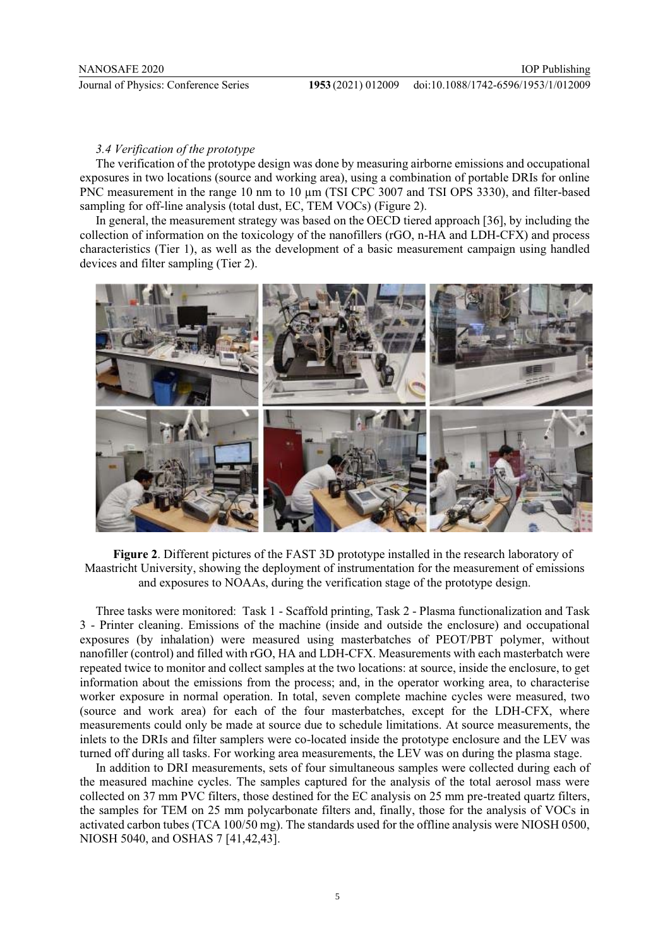#### *3.4 Verification of the prototype*

The verification of the prototype design was done by measuring airborne emissions and occupational exposures in two locations (source and working area), using a combination of portable DRIs for online PNC measurement in the range 10 nm to 10 μm (TSI CPC 3007 and TSI OPS 3330), and filter-based sampling for off-line analysis (total dust, EC, TEM VOCs) (Figure 2).

In general, the measurement strategy was based on the OECD tiered approach [36], by including the collection of information on the toxicology of the nanofillers (rGO, n-HA and LDH-CFX) and process characteristics (Tier 1), as well as the development of a basic measurement campaign using handled devices and filter sampling (Tier 2).



**Figure 2**. Different pictures of the FAST 3D prototype installed in the research laboratory of Maastricht University, showing the deployment of instrumentation for the measurement of emissions and exposures to NOAAs, during the verification stage of the prototype design.

Three tasks were monitored: Task 1 - Scaffold printing, Task 2 - Plasma functionalization and Task 3 - Printer cleaning. Emissions of the machine (inside and outside the enclosure) and occupational exposures (by inhalation) were measured using masterbatches of PEOT/PBT polymer, without nanofiller (control) and filled with rGO, HA and LDH-CFX. Measurements with each masterbatch were repeated twice to monitor and collect samples at the two locations: at source, inside the enclosure, to get information about the emissions from the process; and, in the operator working area, to characterise worker exposure in normal operation. In total, seven complete machine cycles were measured, two (source and work area) for each of the four masterbatches, except for the LDH-CFX, where measurements could only be made at source due to schedule limitations. At source measurements, the inlets to the DRIs and filter samplers were co-located inside the prototype enclosure and the LEV was turned off during all tasks. For working area measurements, the LEV was on during the plasma stage.

In addition to DRI measurements, sets of four simultaneous samples were collected during each of the measured machine cycles. The samples captured for the analysis of the total aerosol mass were collected on 37 mm PVC filters, those destined for the EC analysis on 25 mm pre-treated quartz filters, the samples for TEM on 25 mm polycarbonate filters and, finally, those for the analysis of VOCs in activated carbon tubes (TCA 100/50 mg). The standards used for the offline analysis were NIOSH 0500, NIOSH 5040, and OSHAS 7 [41,42,43].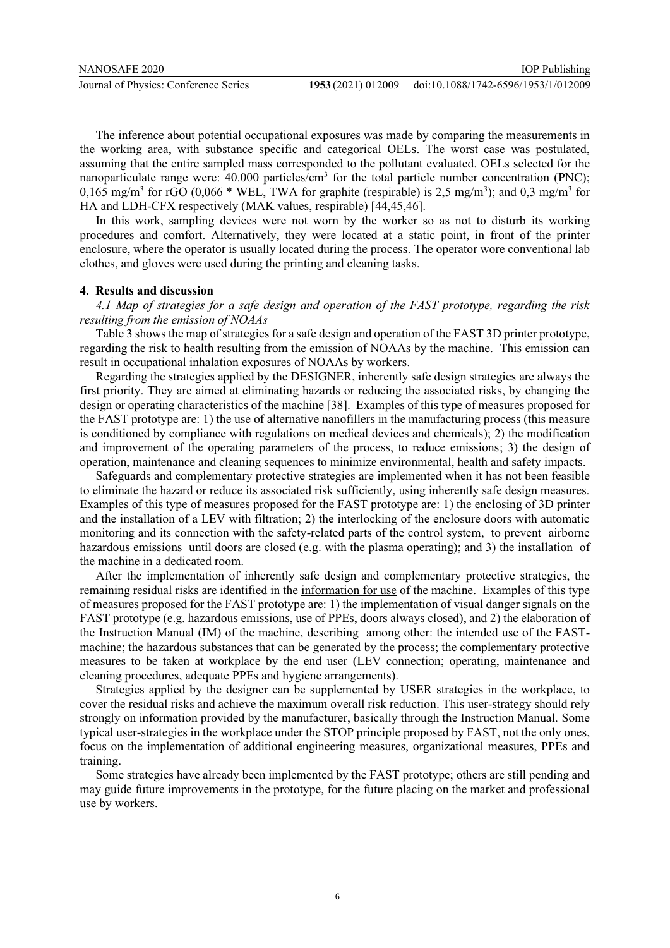The inference about potential occupational exposures was made by comparing the measurements in the working area, with substance specific and categorical OELs. The worst case was postulated, assuming that the entire sampled mass corresponded to the pollutant evaluated. OELs selected for the nanoparticulate range were: 40.000 particles/cm<sup>3</sup> for the total particle number concentration (PNC); 0,165 mg/m<sup>3</sup> for rGO (0,066 \* WEL, TWA for graphite (respirable) is 2,5 mg/m<sup>3</sup>); and 0,3 mg/m<sup>3</sup> for HA and LDH-CFX respectively (MAK values, respirable) [44,45,46].

In this work, sampling devices were not worn by the worker so as not to disturb its working procedures and comfort. Alternatively, they were located at a static point, in front of the printer enclosure, where the operator is usually located during the process. The operator wore conventional lab clothes, and gloves were used during the printing and cleaning tasks.

#### **4. Results and discussion**

*4.1 Map of strategies for a safe design and operation of the FAST prototype, regarding the risk resulting from the emission of NOAAs* 

Table 3 shows the map of strategies for a safe design and operation of the FAST 3D printer prototype, regarding the risk to health resulting from the emission of NOAAs by the machine. This emission can result in occupational inhalation exposures of NOAAs by workers.

Regarding the strategies applied by the DESIGNER, inherently safe design strategies are always the first priority. They are aimed at eliminating hazards or reducing the associated risks, by changing the design or operating characteristics of the machine [38]. Examples of this type of measures proposed for the FAST prototype are: 1) the use of alternative nanofillers in the manufacturing process (this measure is conditioned by compliance with regulations on medical devices and chemicals); 2) the modification and improvement of the operating parameters of the process, to reduce emissions; 3) the design of operation, maintenance and cleaning sequences to minimize environmental, health and safety impacts.

Safeguards and complementary protective strategies are implemented when it has not been feasible to eliminate the hazard or reduce its associated risk sufficiently, using inherently safe design measures. Examples of this type of measures proposed for the FAST prototype are: 1) the enclosing of 3D printer and the installation of a LEV with filtration; 2) the interlocking of the enclosure doors with automatic monitoring and its connection with the safety-related parts of the control system, to prevent airborne hazardous emissions until doors are closed (e.g. with the plasma operating); and 3) the installation of the machine in a dedicated room.

After the implementation of inherently safe design and complementary protective strategies, the remaining residual risks are identified in the information for use of the machine. Examples of this type of measures proposed for the FAST prototype are: 1) the implementation of visual danger signals on the FAST prototype (e.g. hazardous emissions, use of PPEs, doors always closed), and 2) the elaboration of the Instruction Manual (IM) of the machine, describing among other: the intended use of the FASTmachine; the hazardous substances that can be generated by the process; the complementary protective measures to be taken at workplace by the end user (LEV connection; operating, maintenance and cleaning procedures, adequate PPEs and hygiene arrangements).

Strategies applied by the designer can be supplemented by USER strategies in the workplace, to cover the residual risks and achieve the maximum overall risk reduction. This user-strategy should rely strongly on information provided by the manufacturer, basically through the Instruction Manual. Some typical user-strategies in the workplace under the STOP principle proposed by FAST, not the only ones, focus on the implementation of additional engineering measures, organizational measures, PPEs and training.

Some strategies have already been implemented by the FAST prototype; others are still pending and may guide future improvements in the prototype, for the future placing on the market and professional use by workers.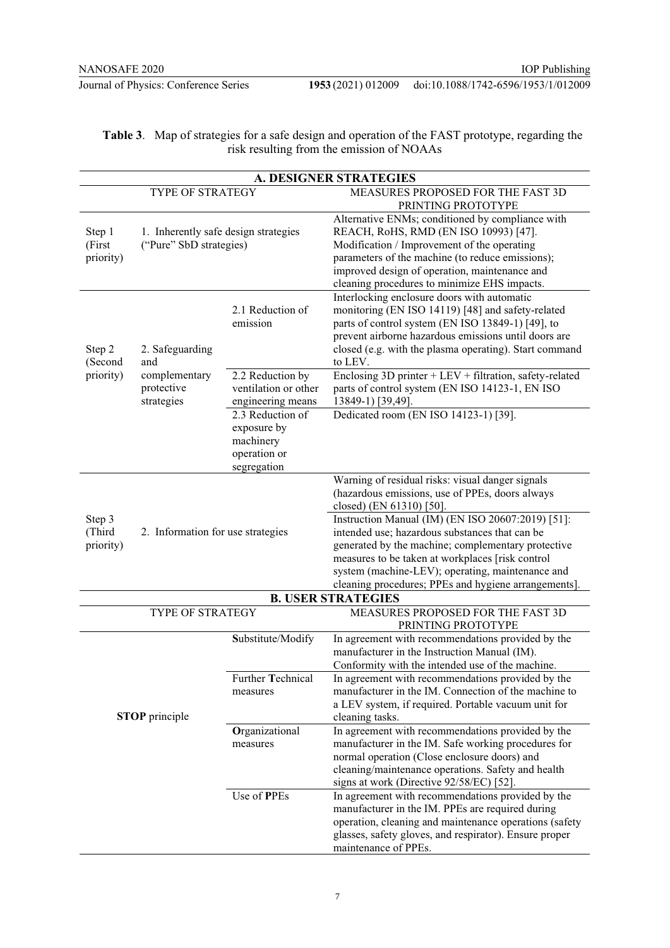**Journal of Physics: Conference Series** 

|                      |                                      |                      | <b>A. DESIGNER STRATEGIES</b>                                                                        |
|----------------------|--------------------------------------|----------------------|------------------------------------------------------------------------------------------------------|
|                      | TYPE OF STRATEGY                     |                      | MEASURES PROPOSED FOR THE FAST 3D                                                                    |
|                      |                                      |                      | PRINTING PROTOTYPE                                                                                   |
|                      |                                      |                      | Alternative ENMs; conditioned by compliance with                                                     |
| Step 1               | 1. Inherently safe design strategies |                      | REACH, RoHS, RMD (EN ISO 10993) [47].                                                                |
| (First               | ("Pure" SbD strategies)              |                      | Modification / Improvement of the operating                                                          |
| priority)            |                                      |                      | parameters of the machine (to reduce emissions);                                                     |
|                      |                                      |                      | improved design of operation, maintenance and                                                        |
|                      |                                      |                      | cleaning procedures to minimize EHS impacts.                                                         |
|                      |                                      |                      | Interlocking enclosure doors with automatic                                                          |
|                      |                                      | 2.1 Reduction of     | monitoring (EN ISO 14119) [48] and safety-related                                                    |
|                      |                                      | emission             | parts of control system (EN ISO 13849-1) [49], to                                                    |
|                      |                                      |                      | prevent airborne hazardous emissions until doors are                                                 |
| Step 2               | 2. Safeguarding<br>and               |                      | closed (e.g. with the plasma operating). Start command                                               |
| (Second<br>priority) | complementary                        | 2.2 Reduction by     | to LEV.<br>Enclosing 3D printer $+$ LEV $+$ filtration, safety-related                               |
|                      | protective                           | ventilation or other | parts of control system (EN ISO 14123-1, EN ISO                                                      |
|                      | strategies                           | engineering means    | 13849-1) [39,49].                                                                                    |
|                      |                                      | 2.3 Reduction of     | Dedicated room (EN ISO 14123-1) [39].                                                                |
|                      |                                      | exposure by          |                                                                                                      |
|                      |                                      | machinery            |                                                                                                      |
|                      |                                      | operation or         |                                                                                                      |
|                      |                                      | segregation          |                                                                                                      |
|                      |                                      |                      | Warning of residual risks: visual danger signals                                                     |
|                      |                                      |                      | (hazardous emissions, use of PPEs, doors always                                                      |
|                      |                                      |                      | closed) (EN 61310) [50].                                                                             |
| Step 3               |                                      |                      | Instruction Manual (IM) (EN ISO 20607:2019) [51]:                                                    |
| (Third               | 2. Information for use strategies    |                      | intended use; hazardous substances that can be                                                       |
| priority)            |                                      |                      | generated by the machine; complementary protective                                                   |
|                      |                                      |                      | measures to be taken at workplaces [risk control<br>system (machine-LEV); operating, maintenance and |
|                      |                                      |                      | cleaning procedures; PPEs and hygiene arrangements].                                                 |
|                      |                                      |                      | <b>B. USER STRATEGIES</b>                                                                            |
|                      | TYPE OF STRATEGY                     |                      | MEASURES PROPOSED FOR THE FAST 3D                                                                    |
|                      |                                      |                      | PRINTING PROTOTYPE                                                                                   |
|                      |                                      | Substitute/Modify    | In agreement with recommendations provided by the                                                    |
|                      |                                      |                      | manufacturer in the Instruction Manual (IM).                                                         |
|                      |                                      |                      | Conformity with the intended use of the machine.                                                     |
|                      |                                      | Further Technical    | In agreement with recommendations provided by the                                                    |
|                      |                                      | measures             | manufacturer in the IM. Connection of the machine to                                                 |
|                      |                                      |                      | a LEV system, if required. Portable vacuum unit for                                                  |
|                      | <b>STOP</b> principle                |                      | cleaning tasks.                                                                                      |
|                      |                                      | Organizational       | In agreement with recommendations provided by the                                                    |
|                      |                                      | measures             | manufacturer in the IM. Safe working procedures for                                                  |
|                      |                                      |                      | normal operation (Close enclosure doors) and                                                         |
|                      |                                      |                      | cleaning/maintenance operations. Safety and health<br>signs at work (Directive 92/58/EC) [52].       |
|                      |                                      | Use of PPEs          | In agreement with recommendations provided by the                                                    |
|                      |                                      |                      | manufacturer in the IM. PPEs are required during                                                     |
|                      |                                      |                      | operation, cleaning and maintenance operations (safety                                               |
|                      |                                      |                      | glasses, safety gloves, and respirator). Ensure proper                                               |
|                      |                                      |                      | maintenance of PPEs.                                                                                 |

| <b>Table 3.</b> Map of strategies for a safe design and operation of the FAST prototype, regarding the |
|--------------------------------------------------------------------------------------------------------|
| risk resulting from the emission of NOAAs                                                              |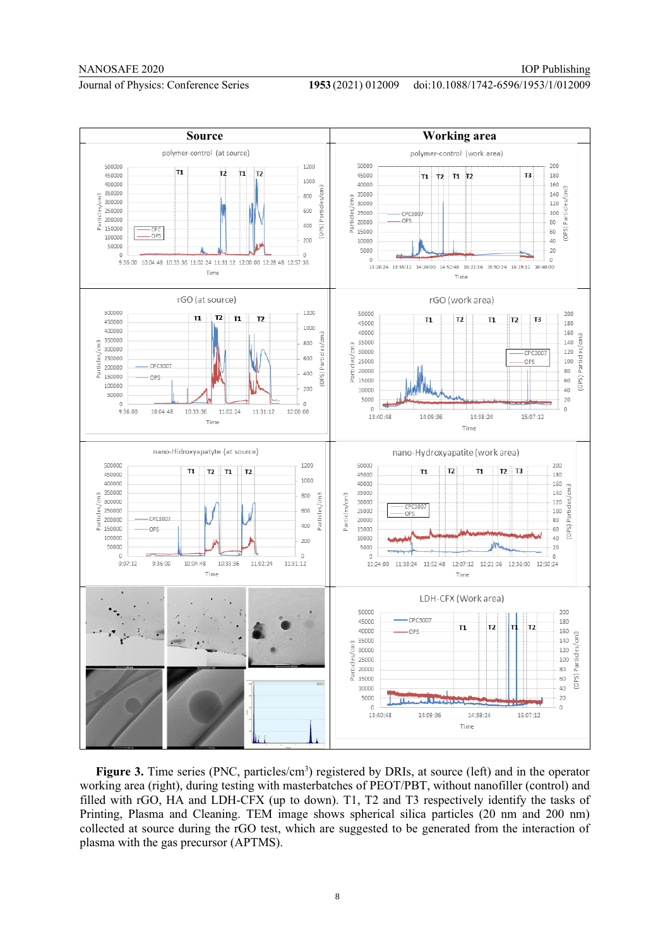#### doi:10.1088/1742-6596/1953/1/012009



Figure 3. Time series (PNC, particles/cm<sup>3</sup>) registered by DRIs, at source (left) and in the operator working area (right), during testing with masterbatches of PEOT/PBT, without nanofiller (control) and filled with rGO, HA and LDH-CFX (up to down). T1, T2 and T3 respectively identify the tasks of Printing, Plasma and Cleaning. TEM image shows spherical silica particles (20 nm and 200 nm) collected at source during the rGO test, which are suggested to be generated from the interaction of plasma with the gas precursor (APTMS).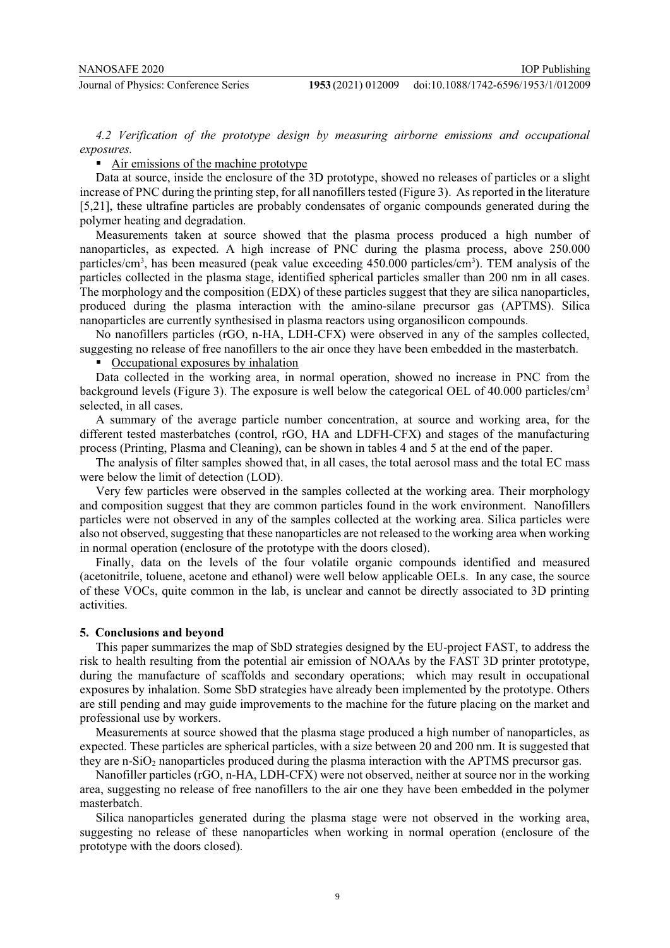*4.2 Verification of the prototype design by measuring airborne emissions and occupational exposures.* 

**-** Air emissions of the machine prototype

Data at source, inside the enclosure of the 3D prototype, showed no releases of particles or a slight increase of PNC during the printing step, for all nanofillers tested (Figure 3). As reported in the literature [5,21], these ultrafine particles are probably condensates of organic compounds generated during the polymer heating and degradation.

Measurements taken at source showed that the plasma process produced a high number of nanoparticles, as expected. A high increase of PNC during the plasma process, above 250.000 particles/cm<sup>3</sup>, has been measured (peak value exceeding 450.000 particles/cm<sup>3</sup>). TEM analysis of the particles collected in the plasma stage, identified spherical particles smaller than 200 nm in all cases. The morphology and the composition (EDX) of these particles suggest that they are silica nanoparticles, produced during the plasma interaction with the amino-silane precursor gas (APTMS). Silica nanoparticles are currently synthesised in plasma reactors using organosilicon compounds.

No nanofillers particles (rGO, n-HA, LDH-CFX) were observed in any of the samples collected, suggesting no release of free nanofillers to the air once they have been embedded in the masterbatch.

**Concupational exposures by inhalation** 

Data collected in the working area, in normal operation, showed no increase in PNC from the background levels (Figure 3). The exposure is well below the categorical OEL of 40.000 particles/cm3 selected, in all cases.

A summary of the average particle number concentration, at source and working area, for the different tested masterbatches (control, rGO, HA and LDFH-CFX) and stages of the manufacturing process (Printing, Plasma and Cleaning), can be shown in tables 4 and 5 at the end of the paper.

The analysis of filter samples showed that, in all cases, the total aerosol mass and the total EC mass were below the limit of detection (LOD).

Very few particles were observed in the samples collected at the working area. Their morphology and composition suggest that they are common particles found in the work environment. Nanofillers particles were not observed in any of the samples collected at the working area. Silica particles were also not observed, suggesting that these nanoparticles are not released to the working area when working in normal operation (enclosure of the prototype with the doors closed).

Finally, data on the levels of the four volatile organic compounds identified and measured (acetonitrile, toluene, acetone and ethanol) were well below applicable OELs. In any case, the source of these VOCs, quite common in the lab, is unclear and cannot be directly associated to 3D printing activities.

#### **5. Conclusions and beyond**

This paper summarizes the map of SbD strategies designed by the EU-project FAST, to address the risk to health resulting from the potential air emission of NOAAs by the FAST 3D printer prototype, during the manufacture of scaffolds and secondary operations; which may result in occupational exposures by inhalation. Some SbD strategies have already been implemented by the prototype. Others are still pending and may guide improvements to the machine for the future placing on the market and professional use by workers.

Measurements at source showed that the plasma stage produced a high number of nanoparticles, as expected. These particles are spherical particles, with a size between 20 and 200 nm. It is suggested that they are n-SiO<sub>2</sub> nanoparticles produced during the plasma interaction with the APTMS precursor gas.

Nanofiller particles (rGO, n-HA, LDH-CFX) were not observed, neither at source nor in the working area, suggesting no release of free nanofillers to the air one they have been embedded in the polymer masterbatch.

Silica nanoparticles generated during the plasma stage were not observed in the working area, suggesting no release of these nanoparticles when working in normal operation (enclosure of the prototype with the doors closed).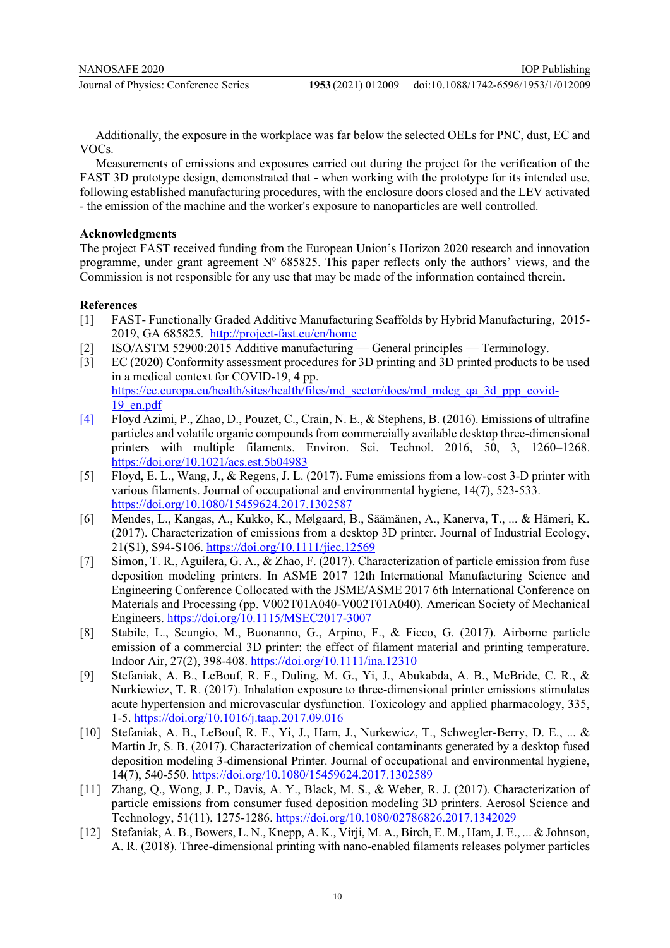Additionally, the exposure in the workplace was far below the selected OELs for PNC, dust, EC and VOCs.

Measurements of emissions and exposures carried out during the project for the verification of the FAST 3D prototype design, demonstrated that - when working with the prototype for its intended use, following established manufacturing procedures, with the enclosure doors closed and the LEV activated - the emission of the machine and the worker's exposure to nanoparticles are well controlled.

## **Acknowledgments**

The project FAST received funding from the European Union's Horizon 2020 research and innovation programme, under grant agreement  $N^{\circ}$  685825. This paper reflects only the authors' views, and the Commission is not responsible for any use that may be made of the information contained therein.

# **References**

- [1] FAST- Functionally Graded Additive Manufacturing Scaffolds by Hybrid Manufacturing, 2015- 2019, GA 685825. http://project-fast.eu/en/home
- [2] ISO/ASTM 52900:2015 Additive manufacturing General principles Terminology.
- [3] EC (2020) Conformity assessment procedures for 3D printing and 3D printed products to be used in a medical context for COVID-19, 4 pp. https://ec.europa.eu/health/sites/health/files/md\_sector/docs/md\_mdcg\_qa\_3d\_ppp\_covid-19\_en.pdf
- [4] Floyd Azimi, P., Zhao, D., Pouzet, C., Crain, N. E., & Stephens, B. (2016). Emissions of ultrafine particles and volatile organic compounds from commercially available desktop three-dimensional printers with multiple filaments. Environ. Sci. Technol. 2016, 50, 3, 1260–1268. https://doi.org/10.1021/acs.est.5b04983
- [5] Floyd, E. L., Wang, J., & Regens, J. L. (2017). Fume emissions from a low-cost 3-D printer with various filaments. Journal of occupational and environmental hygiene, 14(7), 523-533. https://doi.org/10.1080/15459624.2017.1302587
- [6] Mendes, L., Kangas, A., Kukko, K., Mølgaard, B., Säämänen, A., Kanerva, T., ... & Hämeri, K. (2017). Characterization of emissions from a desktop 3D printer. Journal of Industrial Ecology, 21(S1), S94-S106. https://doi.org/10.1111/jiec.12569
- [7] Simon, T. R., Aguilera, G. A., & Zhao, F. (2017). Characterization of particle emission from fuse deposition modeling printers. In ASME 2017 12th International Manufacturing Science and Engineering Conference Collocated with the JSME/ASME 2017 6th International Conference on Materials and Processing (pp. V002T01A040-V002T01A040). American Society of Mechanical Engineers. https://doi.org/10.1115/MSEC2017-3007
- [8] Stabile, L., Scungio, M., Buonanno, G., Arpino, F., & Ficco, G. (2017). Airborne particle emission of a commercial 3D printer: the effect of filament material and printing temperature. Indoor Air, 27(2), 398-408. https://doi.org/10.1111/ina.12310
- [9] Stefaniak, A. B., LeBouf, R. F., Duling, M. G., Yi, J., Abukabda, A. B., McBride, C. R., & Nurkiewicz, T. R. (2017). Inhalation exposure to three-dimensional printer emissions stimulates acute hypertension and microvascular dysfunction. Toxicology and applied pharmacology, 335, 1-5. https://doi.org/10.1016/j.taap.2017.09.016
- [10] Stefaniak, A. B., LeBouf, R. F., Yi, J., Ham, J., Nurkewicz, T., Schwegler-Berry, D. E., ... & Martin Jr, S. B. (2017). Characterization of chemical contaminants generated by a desktop fused deposition modeling 3-dimensional Printer. Journal of occupational and environmental hygiene, 14(7), 540-550. https://doi.org/10.1080/15459624.2017.1302589
- [11] Zhang, O., Wong, J. P., Davis, A. Y., Black, M. S., & Weber, R. J. (2017). Characterization of particle emissions from consumer fused deposition modeling 3D printers. Aerosol Science and Technology, 51(11), 1275-1286. https://doi.org/10.1080/02786826.2017.1342029
- [12] Stefaniak, A. B., Bowers, L. N., Knepp, A. K., Virji, M. A., Birch, E. M., Ham, J. E., ... & Johnson, A. R. (2018). Three‐dimensional printing with nano‐enabled filaments releases polymer particles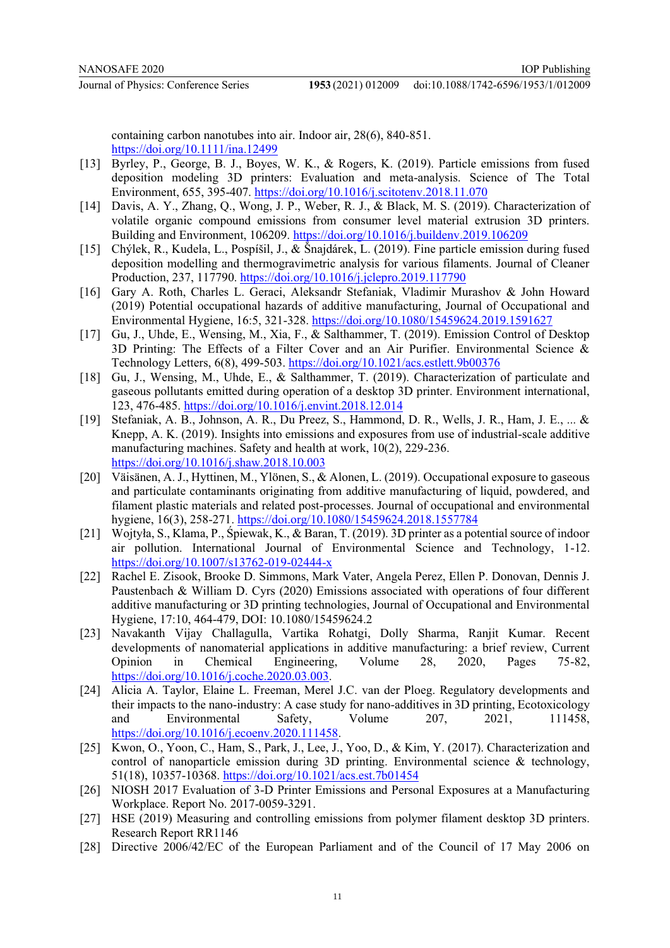doi:10.1088/1742-6596/1953/1/012009

containing carbon nanotubes into air. Indoor air, 28(6), 840-851. https://doi.org/10.1111/ina.12499

- [13] Byrley, P., George, B. J., Boyes, W. K., & Rogers, K. (2019). Particle emissions from fused deposition modeling 3D printers: Evaluation and meta-analysis. Science of The Total Environment, 655, 395-407. https://doi.org/10.1016/j.scitotenv.2018.11.070
- [14] Davis, A. Y., Zhang, Q., Wong, J. P., Weber, R. J., & Black, M. S. (2019). Characterization of volatile organic compound emissions from consumer level material extrusion 3D printers. Building and Environment, 106209. https://doi.org/10.1016/j.buildenv.2019.106209
- [15] Chýlek, R., Kudela, L., Pospíšil, J., & Šnajdárek, L. (2019). Fine particle emission during fused deposition modelling and thermogravimetric analysis for various filaments. Journal of Cleaner Production, 237, 117790. https://doi.org/10.1016/j.jclepro.2019.117790
- [16] Gary A. Roth, Charles L. Geraci, Aleksandr Stefaniak, Vladimir Murashov & John Howard (2019) Potential occupational hazards of additive manufacturing, Journal of Occupational and Environmental Hygiene, 16:5, 321-328. https://doi.org/10.1080/15459624.2019.1591627
- [17] Gu, J., Uhde, E., Wensing, M., Xia, F., & Salthammer, T. (2019). Emission Control of Desktop 3D Printing: The Effects of a Filter Cover and an Air Purifier. Environmental Science & Technology Letters, 6(8), 499-503. https://doi.org/10.1021/acs.estlett.9b00376
- [18] Gu, J., Wensing, M., Uhde, E., & Salthammer, T. (2019). Characterization of particulate and gaseous pollutants emitted during operation of a desktop 3D printer. Environment international, 123, 476-485. https://doi.org/10.1016/j.envint.2018.12.014
- [19] Stefaniak, A. B., Johnson, A. R., Du Preez, S., Hammond, D. R., Wells, J. R., Ham, J. E., ... & Knepp, A. K. (2019). Insights into emissions and exposures from use of industrial-scale additive manufacturing machines. Safety and health at work, 10(2), 229-236. https://doi.org/10.1016/j.shaw.2018.10.003
- [20] Väisänen, A. J., Hyttinen, M., Ylönen, S., & Alonen, L. (2019). Occupational exposure to gaseous and particulate contaminants originating from additive manufacturing of liquid, powdered, and filament plastic materials and related post-processes. Journal of occupational and environmental hygiene, 16(3), 258-271. https://doi.org/10.1080/15459624.2018.1557784
- [21] Wojtyła, S., Klama, P., Śpiewak, K., & Baran, T. (2019). 3D printer as a potential source of indoor air pollution. International Journal of Environmental Science and Technology, 1-12. https://doi.org/10.1007/s13762-019-02444-x
- [22] Rachel E. Zisook, Brooke D. Simmons, Mark Vater, Angela Perez, Ellen P. Donovan, Dennis J. Paustenbach & William D. Cyrs (2020) Emissions associated with operations of four different additive manufacturing or 3D printing technologies, Journal of Occupational and Environmental Hygiene, 17:10, 464-479, DOI: 10.1080/15459624.2
- [23] Navakanth Vijay Challagulla, Vartika Rohatgi, Dolly Sharma, Ranjit Kumar. Recent developments of nanomaterial applications in additive manufacturing: a brief review, Current Opinion in Chemical Engineering, Volume 28, 2020, Pages 75-82, https://doi.org/10.1016/j.coche.2020.03.003.
- [24] Alicia A. Taylor, Elaine L. Freeman, Merel J.C. van der Ploeg. Regulatory developments and their impacts to the nano-industry: A case study for nano-additives in 3D printing, Ecotoxicology and Environmental Safety, Volume 207, 2021, 111458, https://doi.org/10.1016/j.ecoenv.2020.111458.
- [25] Kwon, O., Yoon, C., Ham, S., Park, J., Lee, J., Yoo, D., & Kim, Y. (2017). Characterization and control of nanoparticle emission during  $3D$  printing. Environmental science & technology, 51(18), 10357-10368. https://doi.org/10.1021/acs.est.7b01454
- [26] NIOSH 2017 Evaluation of 3-D Printer Emissions and Personal Exposures at a Manufacturing Workplace. Report No. 2017-0059-3291.
- [27] HSE (2019) Measuring and controlling emissions from polymer filament desktop 3D printers. Research Report RR1146
- [28] Directive 2006/42/EC of the European Parliament and of the Council of 17 May 2006 on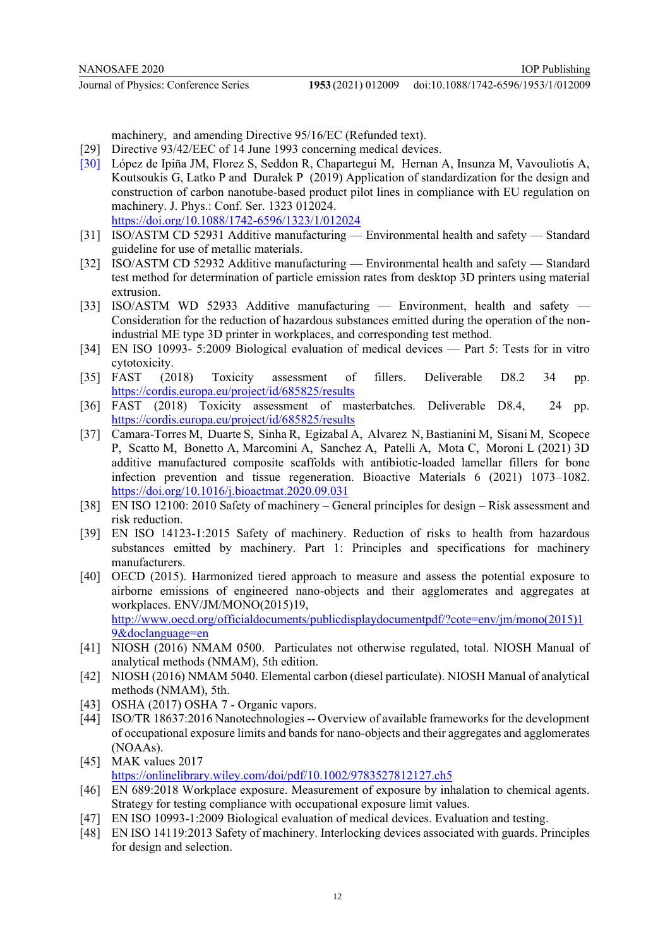machinery, and amending Directive 95/16/EC (Refunded text).

- [29] Directive 93/42/EEC of 14 June 1993 concerning medical devices.
- [30] López de Ipiña JM, Florez S, Seddon R, Chapartegui M, Hernan A, Insunza M, Vavouliotis A, Koutsoukis G, Latko P and Durałek P (2019) Application of standardization for the design and construction of carbon nanotube-based product pilot lines in compliance with EU regulation on machinery. J. Phys.: Conf. Ser. 1323 012024. https://doi.org/10.1088/1742-6596/1323/1/012024
- [31] ISO/ASTM CD 52931 Additive manufacturing Environmental health and safety Standard guideline for use of metallic materials.
- [32] ISO/ASTM CD 52932 Additive manufacturing Environmental health and safety Standard test method for determination of particle emission rates from desktop 3D printers using material extrusion.
- [33] ISO/ASTM WD 52933 Additive manufacturing Environment, health and safety Consideration for the reduction of hazardous substances emitted during the operation of the nonindustrial ME type 3D printer in workplaces, and corresponding test method.
- [34] EN ISO 10993- 5:2009 Biological evaluation of medical devices Part 5: Tests for in vitro cytotoxicity.
- [35] FAST (2018) Toxicity assessment of fillers. Deliverable D8.2 34 pp. https://cordis.europa.eu/project/id/685825/results
- [36] FAST (2018) Toxicity assessment of masterbatches. Deliverable D8.4, 24 pp. https://cordis.europa.eu/project/id/685825/results
- [37] Camara-Torres M, Duarte S, Sinha R, Egizabal A, Alvarez N, Bastianini M, Sisani M, Scopece P, Scatto M, Bonetto A, Marcomini A, Sanchez A, Patelli A, Mota C, Moroni L (2021) 3D additive manufactured composite scaffolds with antibiotic-loaded lamellar fillers for bone infection prevention and tissue regeneration. Bioactive Materials 6 (2021) 1073–1082. https://doi.org/10.1016/j.bioactmat.2020.09.031
- [38] EN ISO 12100: 2010 Safety of machinery General principles for design Risk assessment and risk reduction.
- [39] EN ISO 14123-1:2015 Safety of machinery. Reduction of risks to health from hazardous substances emitted by machinery. Part 1: Principles and specifications for machinery manufacturers.
- [40] OECD (2015). Harmonized tiered approach to measure and assess the potential exposure to airborne emissions of engineered nano-objects and their agglomerates and aggregates at workplaces. ENV/JM/MONO(2015)19, http://www.oecd.org/officialdocuments/publicdisplaydocumentpdf/?cote=env/jm/mono(2015)1 9&doclanguage=en
- [41] NIOSH (2016) NMAM 0500. Particulates not otherwise regulated, total. NIOSH Manual of analytical methods (NMAM), 5th edition.
- [42] NIOSH (2016) NMAM 5040. Elemental carbon (diesel particulate). NIOSH Manual of analytical methods (NMAM), 5th.
- [43] OSHA (2017) OSHA 7 Organic vapors.
- [44] ISO/TR 18637:2016 Nanotechnologies -- Overview of available frameworks for the development of occupational exposure limits and bands for nano-objects and their aggregates and agglomerates (NOAAs).
- [45] MAK values 2017 https://onlinelibrary.wiley.com/doi/pdf/10.1002/9783527812127.ch5
- [46] EN 689:2018 Workplace exposure. Measurement of exposure by inhalation to chemical agents. Strategy for testing compliance with occupational exposure limit values.
- [47] EN ISO 10993-1:2009 Biological evaluation of medical devices. Evaluation and testing.
- [48] EN ISO 14119:2013 Safety of machinery. Interlocking devices associated with guards. Principles for design and selection.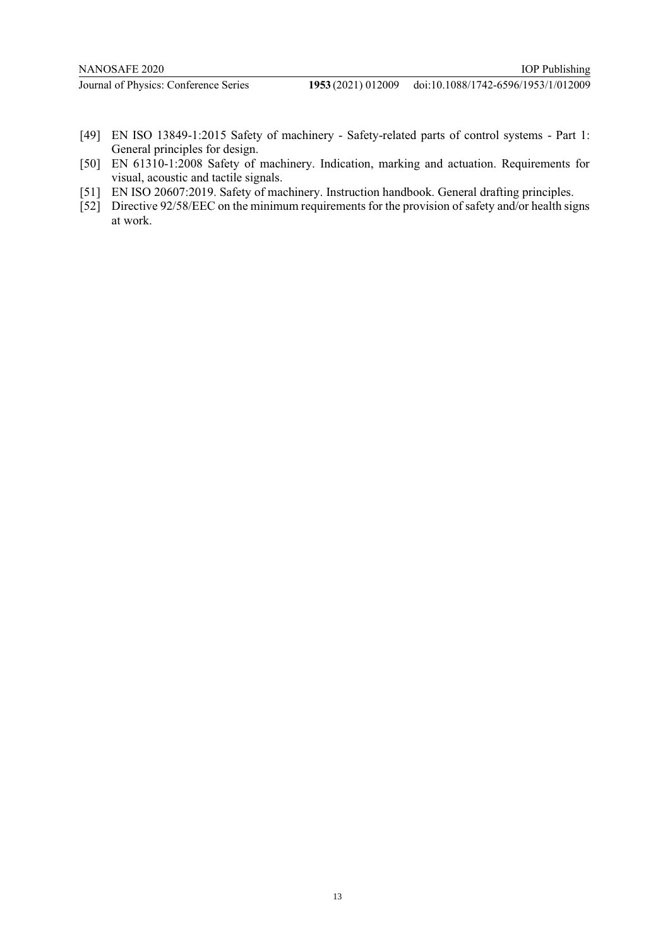doi:10.1088/1742-6596/1953/1/012009

- [49] EN ISO 13849-1:2015 Safety of machinery Safety-related parts of control systems Part 1: General principles for design.
- [50] EN 61310-1:2008 Safety of machinery. Indication, marking and actuation. Requirements for visual, acoustic and tactile signals.
- [51] EN ISO 20607:2019. Safety of machinery. Instruction handbook. General drafting principles.
- [52] Directive 92/58/EEC on the minimum requirements for the provision of safety and/or health signs at work.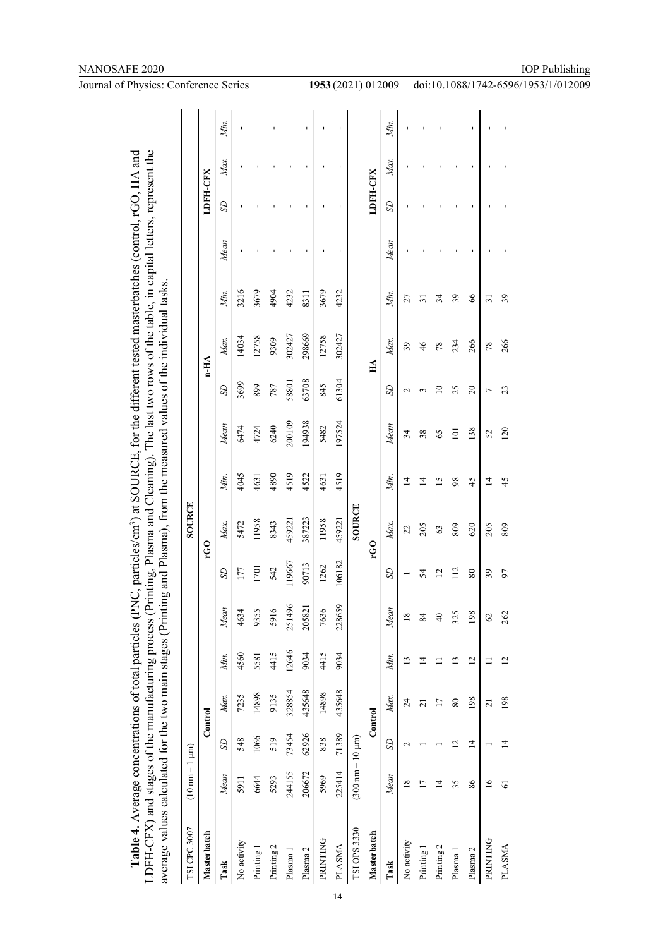| 71389<br>62926<br>73454<br>$(300 \text{ nm} - 10 \text{ µm})$<br>1066<br>519<br>838<br>548<br>S<br>$(10 \text{ nm} - 1 \text{ }\mu\text{m})$<br>225414<br>244155<br>206672<br>Mean<br>6644<br>5969<br>5293<br>5911<br>TSI CPC 3007<br>TSI OPS 3330<br>Masterbatch<br>PRINTING<br>No activity<br>Printing 2<br>PLASMA<br>Printing 1<br>Plasma <sub>2</sub><br>Plasma 1<br>Task | 328854<br>14898<br>9135<br>7235<br>Max.<br>Control |                |               |                |                 |                |        |                 |            |      |      |          |      |      |
|-------------------------------------------------------------------------------------------------------------------------------------------------------------------------------------------------------------------------------------------------------------------------------------------------------------------------------------------------------------------------------|----------------------------------------------------|----------------|---------------|----------------|-----------------|----------------|--------|-----------------|------------|------|------|----------|------|------|
|                                                                                                                                                                                                                                                                                                                                                                               |                                                    |                |               |                | SOURCE          |                |        |                 |            |      |      |          |      |      |
|                                                                                                                                                                                                                                                                                                                                                                               |                                                    |                |               |                | <b>CO</b>       |                |        |                 | $n-HA$     |      |      | LDFH-CFX |      |      |
|                                                                                                                                                                                                                                                                                                                                                                               |                                                    | Min.           | Mean          | SD             | Max.            | Мiп.           | Mean   | SD              | Max.       | Min. | Mean | SD       | Max. | Min. |
|                                                                                                                                                                                                                                                                                                                                                                               |                                                    | 4560           | 4634          | 177            | 5472            | 4045           | 6474   | 3699            | 14034      | 3216 |      |          |      |      |
|                                                                                                                                                                                                                                                                                                                                                                               |                                                    | 5581           | 9355          | 1701           | 11958           | 4631           | 4724   | 899             | 12758      | 3679 |      |          |      |      |
|                                                                                                                                                                                                                                                                                                                                                                               |                                                    | 4415           | 5916          | 542            | 8343            | 4890           | 6240   | 787             | 9309       | 4904 |      |          |      |      |
|                                                                                                                                                                                                                                                                                                                                                                               |                                                    | 12646          | 251496        | 119667         | 459221          | 4519           | 200109 | 58801           | 302427     | 4232 |      |          |      |      |
|                                                                                                                                                                                                                                                                                                                                                                               | 435648                                             | 9034           | 205821        | 90713          | 387223          | 4522           | 194938 | 63708           | 298669     | 8311 |      |          |      |      |
|                                                                                                                                                                                                                                                                                                                                                                               | 14898                                              | 4415           | 7636          | 1262           | 11958           | 4631           | 5482   | 845             | 12758      | 3679 |      |          |      |      |
|                                                                                                                                                                                                                                                                                                                                                                               | 435648                                             | 9034           | 228659        | 106182         | 459221          | 4519           | 197524 | 61304           | 302427     | 4232 |      |          |      |      |
|                                                                                                                                                                                                                                                                                                                                                                               |                                                    |                |               |                | SOURCE          |                |        |                 |            |      |      |          |      |      |
| Masterbatch                                                                                                                                                                                                                                                                                                                                                                   | Control                                            |                |               |                | CO <sub>L</sub> |                |        |                 | $H\Lambda$ |      |      | LDFH-CFX |      |      |
| S<br>Mean<br>Task                                                                                                                                                                                                                                                                                                                                                             | Max.                                               | Min.           | Mean          | SD             | Max.            | Min.           | Mean   | SD              | Max.       | Min. | Mean | SD       | Max. | Min. |
| $\mathbf{\sim}$<br>18<br>No activity                                                                                                                                                                                                                                                                                                                                          | 24                                                 | $\mathbf{1}$   | $\frac{8}{2}$ |                | 22              | $\vec{4}$      | 34     | $\mathbf{\sim}$ | 39         | 27   |      |          |      |      |
| $\overline{17}$<br>Printing 1                                                                                                                                                                                                                                                                                                                                                 | $\overline{c}$                                     | $\overline{4}$ | 84            | 54             | 205             | $\vec{4}$      | 38     | m               | 46         | ಸ    |      |          |      |      |
| $\overline{1}$<br>Printing 2                                                                                                                                                                                                                                                                                                                                                  | 17                                                 |                | $\frac{1}{4}$ | $\overline{2}$ | $\mathcal{C}$   | 15             | 65     | $\overline{10}$ | 78         | 34   |      |          |      |      |
| 12<br>35<br>Plasma 1                                                                                                                                                                                                                                                                                                                                                          | $80\,$                                             | 13             | 325           | 112            | 809             | 98             | 101    | 25              | 234        | 39   |      |          |      |      |
| $\overline{1}$<br>86<br>Plasma 2                                                                                                                                                                                                                                                                                                                                              | 198                                                | 12             | 198           | $80\,$         | 620             | 45             | 138    | $\overline{c}$  | 266        | 66   |      |          |      |      |
| 16<br>PRINTING                                                                                                                                                                                                                                                                                                                                                                | $\overline{21}$                                    | Ξ              | 62            | 39             | 205             | $\overline{4}$ | 52     | Γ               | 78         | ಸ    |      |          |      |      |
| $\overline{1}$<br>$\overline{6}$<br>PLASMA                                                                                                                                                                                                                                                                                                                                    | 198                                                | $\overline{2}$ | 262           | 57             | 809             | 45             | 120    | 23              | 266        | 39   |      |          |      |      |

# NANOSAFE 2020

**Journal of Physics: Conference Series** 

1953 (2021) 012009 doi:10.1088/1742-6596/1953/1/012009

IOP Publishing